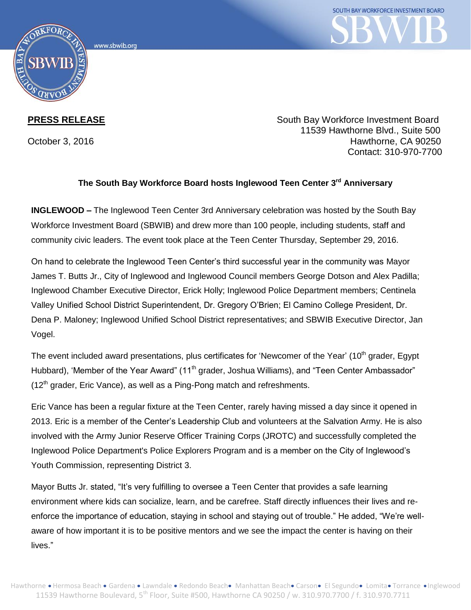



**PRESS RELEASE** South Bay Workforce Investment Board 11539 Hawthorne Blvd., Suite 500 October 3, 2016 **Hawthorne**, CA 90250 Contact: 310-970-7700

## **The South Bay Workforce Board hosts Inglewood Teen Center 3rd Anniversary**

**INGLEWOOD –** The Inglewood Teen Center 3rd Anniversary celebration was hosted by the South Bay Workforce Investment Board (SBWIB) and drew more than 100 people, including students, staff and community civic leaders. The event took place at the Teen Center Thursday, September 29, 2016.

On hand to celebrate the Inglewood Teen Center's third successful year in the community was Mayor James T. Butts Jr., City of Inglewood and Inglewood Council members George Dotson and Alex Padilla; Inglewood Chamber Executive Director, Erick Holly; Inglewood Police Department members; Centinela Valley Unified School District Superintendent, Dr. Gregory O'Brien; El Camino College President, Dr. Dena P. Maloney; Inglewood Unified School District representatives; and SBWIB Executive Director, Jan Vogel.

The event included award presentations, plus certificates for 'Newcomer of the Year' (10<sup>th</sup> grader, Egypt Hubbard), 'Member of the Year Award" (11<sup>th</sup> grader, Joshua Williams), and "Teen Center Ambassador"  $(12<sup>th</sup>$  grader, Eric Vance), as well as a Ping-Pong match and refreshments.

Eric Vance has been a regular fixture at the Teen Center, rarely having missed a day since it opened in 2013. Eric is a member of the Center's Leadership Club and volunteers at the Salvation Army. He is also involved with the Army Junior Reserve Officer Training Corps (JROTC) and successfully completed the Inglewood Police Department's Police Explorers Program and is a member on the City of Inglewood's Youth Commission, representing District 3.

Mayor Butts Jr. stated, "It's very fulfilling to oversee a Teen Center that provides a safe learning environment where kids can socialize, learn, and be carefree. Staff directly influences their lives and reenforce the importance of education, staying in school and staying out of trouble." He added, "We're wellaware of how important it is to be positive mentors and we see the impact the center is having on their lives."